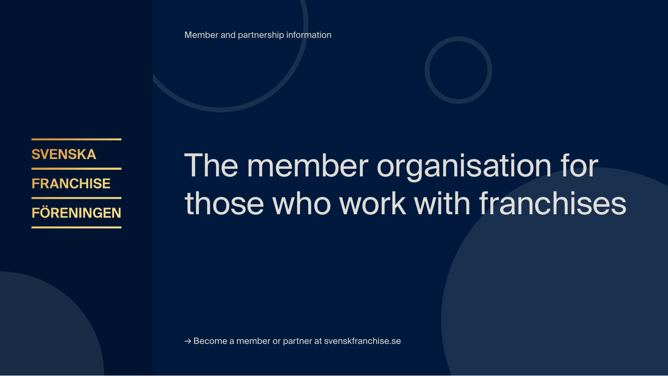Member and partnership information

**SVENSKA** 

**FRANCHISE** 

**FÖRENINGEN** 

# The member organisation for those who work with franchises

→ Become a member or partner at svenskfranchise.se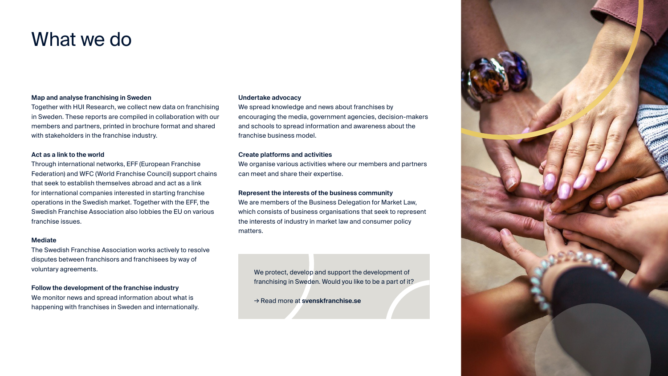### What we do

#### **Map and analyse franchising in Sweden**

Together with HUI Research, we collect new data on franchising in Sweden. These reports are compiled in collaboration with our members and partners, printed in brochure format and shared with stakeholders in the franchise industry.

#### **Act as a link to the world**

Through international networks, EFF (European Franchise Federation) and WFC (World Franchise Council) support chains that seek to establish themselves abroad and act as a link for international companies interested in starting franchise operations in the Swedish market. Together with the EFF, the Swedish Franchise Association also lobbies the EU on various franchise issues.

#### **Mediate**

The Swedish Franchise Association works actively to resolve disputes between franchisors and franchisees by way of voluntary agreements.

#### **Follow the development of the franchise industry**

We monitor news and spread information about what is happening with franchises in Sweden and internationally.

#### **Undertake advocacy**

We spread knowledge and news about franchises by encouraging the media, government agencies, decision-makers and schools to spread information and awareness about the franchise business model.

#### **Create platforms and activities**

We organise various activities where our members and partners can meet and share their expertise.

#### **Represent the interests of the business community**

We are members of the Business Delegation for Market Law, which consists of business organisations that seek to represent the interests of industry in market law and consumer policy matters.

We protect, develop and support the development of franchising in Sweden. Would you like to be a part of it?

→ Read more at **svenskfranchise.se**

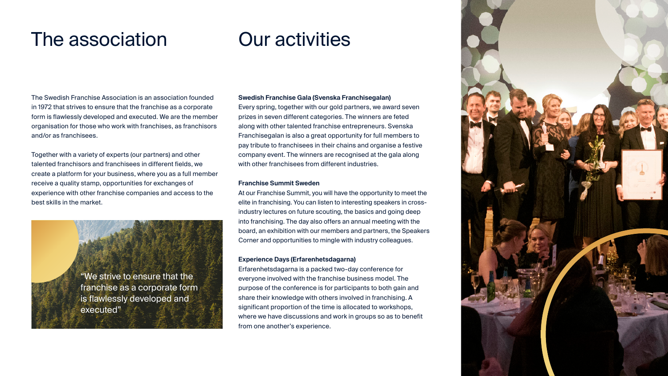## The association

# Our activities

The Swedish Franchise Association is an association founded in 1972 that strives to ensure that the franchise as a corporate form is flawlessly developed and executed. We are the member organisation for those who work with franchises, as franchisors and/or as franchisees.

Together with a variety of experts (our partners) and other talented franchisors and franchisees in different fields, we create a platform for your business, where you as a full member receive a quality stamp, opportunities for exchanges of experience with other franchise companies and access to the best skills in the market.



#### **Swedish Franchise Gala (Svenska Franchisegalan)**

Every spring, together with our gold partners, we award seven prizes in seven different categories. The winners are feted along with other talented franchise entrepreneurs. Svenska Franchisegalan is also a great opportunity for full members to pay tribute to franchisees in their chains and organise a festive company event. The winners are recognised at the gala along with other franchisees from different industries

#### **Franchise Summit Sweden**

At our Franchise Summit, you will have the opportunity to meet the elite in franchising. You can listen to interesting speakers in crossindustry lectures on future scouting, the basics and going deep into franchising. The day also offers an annual meeting with the board, an exhibition with our members and partners, the Speakers Corner and opportunities to mingle with industry colleagues.

#### **Experience Days (Erfarenhetsdagarna)**

Erfarenhetsdagarna is a packed two-day conference for everyone involved with the franchise business model. The purpose of the conference is for participants to both gain and share their knowledge with others involved in franchising. A significant proportion of the time is allocated to workshops, where we have discussions and work in groups so as to benefit from one another's experience.